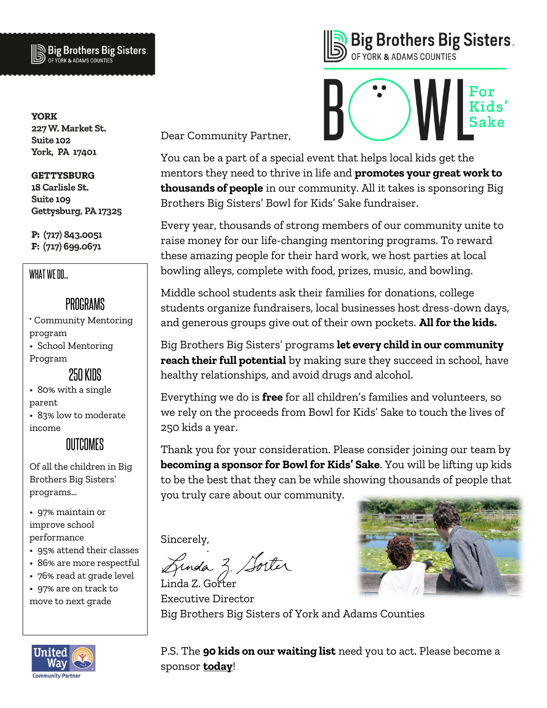

**YORK** 227 W. Market St. Suite 102 York, PA 17401

**GETTYSBURG** 18 Carlisle St. Suite 109 Gettysburg, PA 17325

P: (717) 843.0051 F: (717) 699.0671

#### WHAT WE DO...

### PROGRAMS

Community Mentoring program

• School Mentoring Program

250 KINS

• 80% with a single parent

• 83% low to moderate income

**MITCOMES** 

Of all the children in Big Brothers Big Sisters' programs…

• 97% maintain or improve school performance

- 95% attend their classes
- 86% are more respectful
- 76% read at grade level

• 97% are on track to move to next grade



**Big Brothers Big Sisters.** OF YORK & ADAMS COUNTIES

Dear Community Partner,

You can be a part of a special event that helps local kids get the mentors they need to thrive in life and **promotes your great work to thousands of people** in our community. All it takes is sponsoring Big Brothers Big Sisters' Bowl for Kids' Sake fundraiser.

Every year, thousands of strong members of our community unite to raise money for our life-changing mentoring programs. To reward these amazing people for their hard work, we host parties at local bowling alleys, complete with food, prizes, music, and bowling.

Middle school students ask their families for donations, college students organize fundraisers, local businesses host dress-down days, and generous groups give out of their own pockets. **All for the kids.**

Big Brothers Big Sisters' programs **let every child in our community reach their full potential** by making sure they succeed in school, have healthy relationships, and avoid drugs and alcohol.

Everything we do is **free** for all children's families and volunteers, so we rely on the proceeds from Bowl for Kids' Sake to touch the lives of 250 kids a year.

Thank you for your consideration. Please consider joining our team by **becoming a sponsor for Bowl for Kids' Sake**. You will be lifting up kids to be the best that they can be while showing thousands of people that you truly care about our community.

Sincerely,

Gunda Z. Sorter

Linda Z. Gorter Executive Director Big Brothers Big Sisters of York and Adams Counties

P.S. The **90 kids on our waiting list** need you to act. Please become a sponsor **today**!

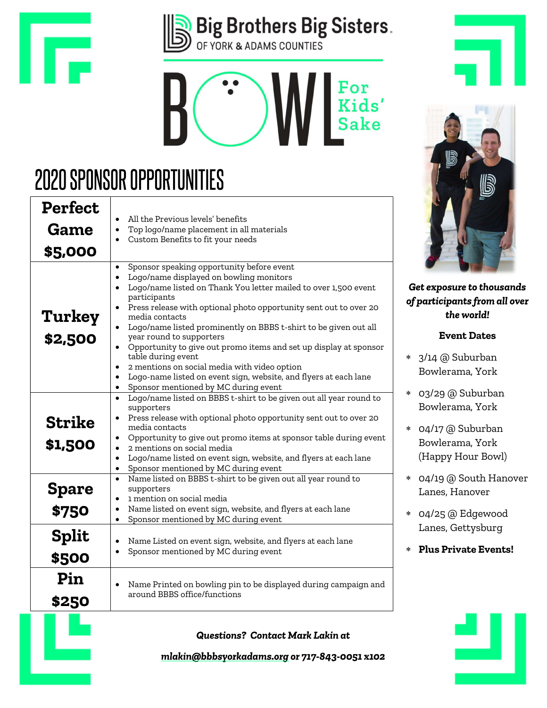





# **2020 SPONSOR OPPORTUNITIES**

| <b>Perfect</b>           |                                                                                                                                                                                                                                                                                                                                                                                                                                                                                                                                                                                                                                                                                                                               |
|--------------------------|-------------------------------------------------------------------------------------------------------------------------------------------------------------------------------------------------------------------------------------------------------------------------------------------------------------------------------------------------------------------------------------------------------------------------------------------------------------------------------------------------------------------------------------------------------------------------------------------------------------------------------------------------------------------------------------------------------------------------------|
|                          | All the Previous levels' benefits<br>$\bullet$                                                                                                                                                                                                                                                                                                                                                                                                                                                                                                                                                                                                                                                                                |
| <b>Game</b>              | Top logo/name placement in all materials<br>Custom Benefits to fit your needs                                                                                                                                                                                                                                                                                                                                                                                                                                                                                                                                                                                                                                                 |
| \$5,000                  |                                                                                                                                                                                                                                                                                                                                                                                                                                                                                                                                                                                                                                                                                                                               |
| Turkey<br>\$2,500        | Sponsor speaking opportunity before event<br>$\bullet$<br>Logo/name displayed on bowling monitors<br>$\bullet$<br>Logo/name listed on Thank You letter mailed to over 1,500 event<br>$\bullet$<br>participants<br>Press release with optional photo opportunity sent out to over 20<br>$\bullet$<br>media contacts<br>Logo/name listed prominently on BBBS t-shirt to be given out all<br>year round to supporters<br>Opportunity to give out promo items and set up display at sponsor<br>$\bullet$<br>table during event<br>2 mentions on social media with video option<br>$\bullet$<br>Logo-name listed on event sign, website, and flyers at each lane<br>$\bullet$<br>Sponsor mentioned by MC during event<br>$\bullet$ |
| <b>Strike</b><br>\$1,500 | Logo/name listed on BBBS t-shirt to be given out all year round to<br>$\bullet$<br>supporters<br>Press release with optional photo opportunity sent out to over 20<br>media contacts<br>Opportunity to give out promo items at sponsor table during event<br>$\bullet$<br>2 mentions on social media<br>$\bullet$<br>Logo/name listed on event sign, website, and flyers at each lane<br>$\bullet$<br>Sponsor mentioned by MC during event                                                                                                                                                                                                                                                                                    |
| <b>Spare</b><br>\$750    | Name listed on BBBS t-shirt to be given out all year round to<br>$\bullet$<br>supporters<br>1 mention on social media<br>$\bullet$<br>Name listed on event sign, website, and flyers at each lane<br>$\bullet$<br>Sponsor mentioned by MC during event<br>$\bullet$                                                                                                                                                                                                                                                                                                                                                                                                                                                           |
| <b>Split</b><br>\$500    | Name Listed on event sign, website, and flyers at each lane<br>$\bullet$<br>Sponsor mentioned by MC during event                                                                                                                                                                                                                                                                                                                                                                                                                                                                                                                                                                                                              |
| Pin<br>\$250             | Name Printed on bowling pin to be displayed during campaign and<br>$\bullet$<br>around BBBS office/functions                                                                                                                                                                                                                                                                                                                                                                                                                                                                                                                                                                                                                  |
|                          | <b>Questions? Contact Mark Lakin at</b>                                                                                                                                                                                                                                                                                                                                                                                                                                                                                                                                                                                                                                                                                       |



Get exposure to thousands of participants from all over the world!

#### Event Dates

- 3/14 @ Suburban Bowlerama, York
- 03/29 @ Suburban Bowlerama, York
- 04/17 @ Suburban Bowlerama, York (Happy Hour Bowl)
- 04/19 @ South Hanover Lanes, Hanover
- 04/25 @ Edgewood Lanes, Gettysburg
- Plus Private Events!



mlakin@bbbsyorkadams.org or 717-843-0051 x102